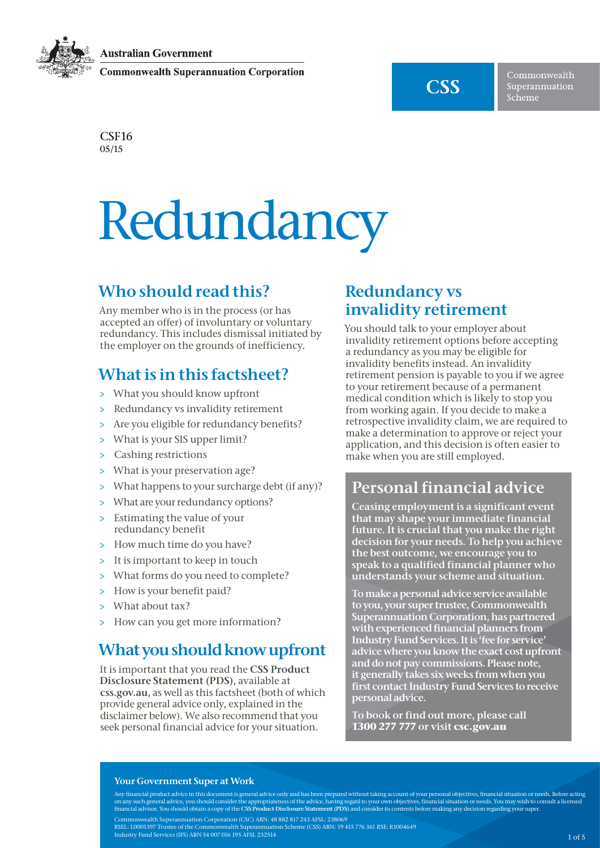**Australian Government** 

**Commonwealth Superannuation Corporation** 



Commonwealth Superannuation Scheme

C<sub>SF16</sub> 05/15

# Redundancy

Any member who is in the process (or has accepted an offer) of involuntary or voluntary redundancy. This includes dismissal initiated by the employer on the grounds of inefficiency.

## What is in this factsheet?

- > What you should know upfront
- > Redundancy vs invalidity retirement
- > Are you eligible for redundancy benefits?
- > What is your SIS upper limit?
- > Cashing restrictions
- > What is your preservation age?
- > What happens to your surcharge debt (if any)?
- > What are your redundancy options?
- > Estimating the value of your redundancy benefit
- > How much time do you have?
- > It is important to keep in touch
- > What forms do you need to complete?
- > How is your benefit paid?
- > What about tax?
- > How can you get more information?

## What you should know upfront

It is important that you read the CSS Product Disclosure Statement (PDS), available at <css.gov.au>, as well as this factsheet (both of which provide general advice only, explained in the disclaimer below). We also recommend that you seek personal financial advice for your situation.

## Redundancy vs invalidity retirement

Who should recall this calculation when the interaction of the state of the state of the state of the state of the state of the state of the state of the state of the state of the state of the state of the state of the st You should talk to your employer about invalidity retirement options before accepting a redundancy as you may be eligible for invalidity benefits instead. An invalidity retirement pension is payable to you if we agree to your retirement because of a permanent medical condition which is likely to stop you from working again. If you decide to make a retrospective invalidity claim, we are required to make a determination to approve or reject your application, and this decision is often easier to make when you are still employed.

## Personal financial advice

Ceasing employment is a significant event that may shape your immediate financial future. It is crucial that you make the right decision for your needs. To help you achieve the best outcome, we encourage you to speak to a qualified financial planner who understands your scheme and situation.

To make a personal advice service available to you, your super trustee, Commonwealth Superannuation Corporation, has partnered with experienced financial planners from Industry Fund Services. It is 'fee for service' advice where you know the exact cost upfront and do not pay commissions. Please note, it generally takes six weeks from when you first contact Industry Fund Services to receive personal advice.

[To](obligation.To) book or find out more, please call **1300 277 777** or visit **<csc.gov.au>**

#### Your Government Super at Work

Any financial product advice in this document is general advice only and has been prepared without taking account of your personal objectives, financial situation or needs. Before acting on any such general advice, you should consider the appropriateness of the advice, having regard to your own objectives, financial situation or needs. You may wish to consult a licensed<br>financial advisor. You should obtain Commonwealth Superannuation Corporation (CSC) ABN: 48 882 817 243 AFSL: 238069 RSEL: L0001397 Trustee of the Commonwealth Superannuation Scheme (CSS) ABN: 19 415 776 361 RSE: R1004649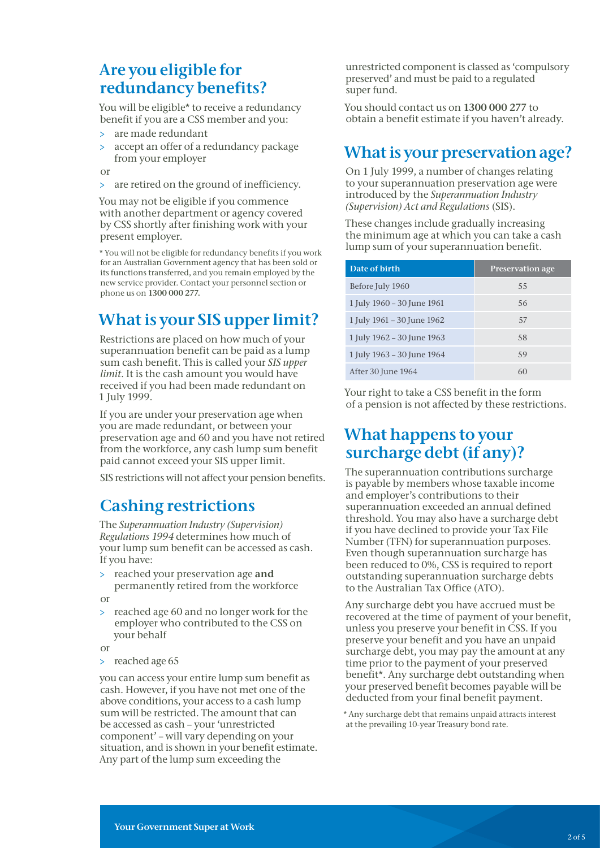## Are you eligible for redundancy benefits?

You will be eligible\* to receive a redundancy benefit if you are a CSS member and you:

- are made redundant
- > accept an offer of a redundancy package from your employer

or

> are retired on the ground of inefficiency.

You may not be eligible if you commence with another department or agency covered by CSS shortly after finishing work with your present employer.

 \* You will not be eligible for redundancy benefits if you work for an Australian Government agency that has been sold or its functions transferred, and you remain employed by the new service provider. Contact your personnel section or phone us on 1300 000 277.

## What is your SIS upper limit?

Restrictions are placed on how much of your superannuation benefit can be paid as a lump sum cash benefit. This is called your *SIS upper limit*. It is the cash amount you would have received if you had been made redundant on 1 July 1999.

If you are under your preservation age when you are made redundant, or between your preservation age and 60 and you have not retired from the workforce, any cash lump sum benefit paid cannot exceed your SIS upper limit.

SIS restrictions will not affect your pension benefits.

## Cashing restrictions

The *Superannuation Industry (Supervision) Regulations 1994* determines how much of your lump sum benefit can be accessed as cash. If you have:

- reached your preservation age and permanently retired from the workforce
- or
- > reached age 60 and no longer work for the employer who contributed to the CSS on your behalf

or

> reached age 65

you can access your entire lump sum benefit as cash. However, if you have not met one of the above conditions, your access to a cash lump sum will be restricted. The amount that can be accessed as cash – your 'unrestricted component' – will vary depending on your situation, and is shown in your benefit estimate. Any part of the lump sum exceeding the

unrestricted component is classed as 'compulsory preserved' and must be paid to a regulated super fund.

You should contact us on 1300 000 277 to obtain a benefit estimate if you haven't already.

## What is your preservation age?

On 1 July 1999, a number of changes relating to your superannuation preservation age were introduced by the *Superannuation Industry (Supervision) Act and Regulations* (SIS).

These changes include gradually increasing the minimum age at which you can take a cash lump sum of your superannuation benefit.

| Date of birth              | <b>Preservation age</b> |
|----------------------------|-------------------------|
| Before July 1960           | 55                      |
| 1 July 1960 - 30 June 1961 | 56                      |
| 1 July 1961 - 30 June 1962 | 57                      |
| 1 July 1962 - 30 June 1963 | 58                      |
| 1 July 1963 - 30 June 1964 | 59                      |
| After 30 June 1964         | 60                      |

Your right to take a CSS benefit in the form of a pension is not affected by these restrictions.

## What happens to your surcharge debt (if any)?

The superannuation contributions surcharge is payable by members whose taxable income and employer's contributions to their superannuation exceeded an annual defined threshold. You may also have a surcharge debt if you have declined to provide your Tax File Number (TFN) for superannuation purposes. Even though superannuation surcharge has been reduced to 0%, CSS is required to report outstanding superannuation surcharge debts to the Australian Tax Office (ATO).

Any surcharge debt you have accrued must be recovered at the time of payment of your benefit, unless you preserve your benefit in CSS. If you preserve your benefit and you have an unpaid surcharge debt, you may pay the amount at any time prior to the payment of your preserved benefit\*. Any surcharge debt outstanding when your preserved benefit becomes payable will be deducted from your final benefit payment.

\* Any surcharge debt that remains unpaid attracts interest at the prevailing 10-year Treasury bond rate.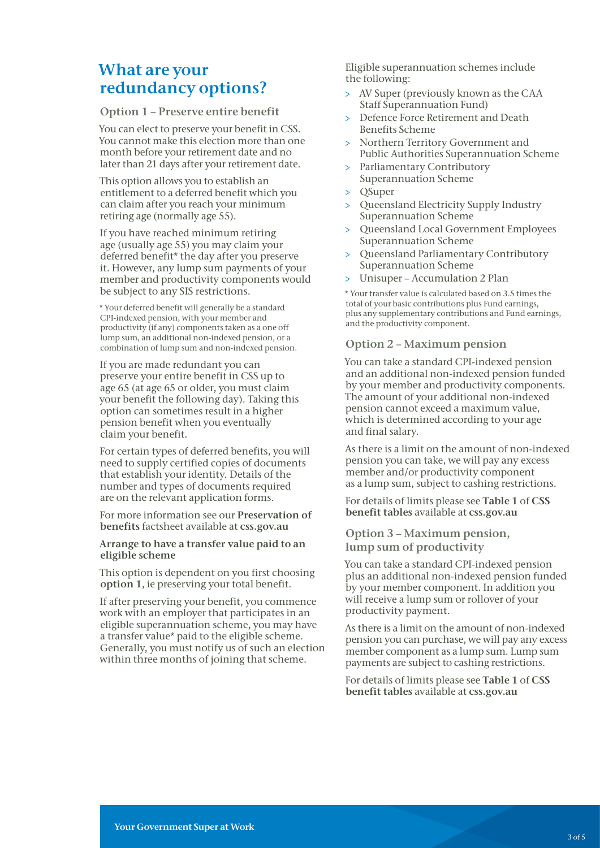## What are your redundancy options?

#### Option 1 – Preserve entire benefit

You can elect to preserve your benefit in CSS. You cannot make this election more than one month before your retirement date and no later than 21 days after your retirement date.

This option allows you to establish an entitlement to a deferred benefit which you can claim after you reach your minimum retiring age (normally age 55).

If you have reached minimum retiring age (usually age 55) you may claim your deferred benefit\* the day after you preserve it. However, any lump sum payments of your member and productivity components would be subject to any SIS restrictions.

 \* Your deferred benefit will generally be a standard CPI-indexed pension, with your member and productivity (if any) components taken as a one off lump sum, an additional non-indexed pension, or a combination of lump sum and non-indexed pension.

If you are made redundant you can preserve your entire benefit in CSS up to age 65 (at age 65 or older, you must claim your benefit the following day). Taking this option can sometimes result in a higher pension benefit when you eventually claim your benefit.

For certain types of deferred benefits, you will need to supply certified copies of documents that establish your identity. Details of the number and types of documents required are on the relevant application forms.

For more information see our Preservation of benefits factsheet available at [css.gov.au](http://css.gov.au)

#### Arrange to have a transfer value paid to an eligible scheme

This option is dependent on you first choosing option 1, ie preserving your total benefit.

If after preserving your benefit, you commence work with an employer that participates in an eligible superannuation scheme, you may have a transfer value\* paid to the eligible scheme. Generally, you must notify us of such an election within three months of joining that scheme.

Eligible superannuation schemes include the following:

- > AV Super (previously known as the CAA Staff Superannuation Fund)
- > Defence Force Retirement and Death Benefits Scheme
- > Northern Territory Government and Public Authorities Superannuation Scheme
- > Parliamentary Contributory Superannuation Scheme
- > QSuper
- > Queensland Electricity Supply Industry Superannuation Scheme
- > Queensland Local Government Employees Superannuation Scheme
- > Queensland Parliamentary Contributory Superannuation Scheme
- > Unisuper Accumulation 2 Plan

 \* Your transfer value is calculated based on 3.5 times the total of your basic contributions plus Fund earnings, plus any supplementary contributions and Fund earnings, and the productivity component.

### Option 2 – Maximum pension

You can take a standard CPI-indexed pension and an additional non-indexed pension funded by your member and productivity components. The amount of your additional non-indexed pension cannot exceed a maximum value, which is determined according to your age and final salary.

As there is a limit on the amount of non-indexed pension you can take, we will pay any excess member and/or productivity component as a lump sum, subject to cashing restrictions.

For details of limits please see Table 1 of CSS benefit tables available at [css.gov.au](http://css.gov.au)

#### Option 3 – Maximum pension, lump sum of productivity

You can take a standard CPI-indexed pension plus an additional non-indexed pension funded by your member component. In addition you will receive a lump sum or rollover of your productivity payment.

As there is a limit on the amount of non-indexed pension you can purchase, we will pay any excess member component as a lump sum. Lump sum payments are subject to cashing restrictions.

For details of limits please see Table 1 of CSS benefit tables available at [css.gov.au](http://css.gov.au)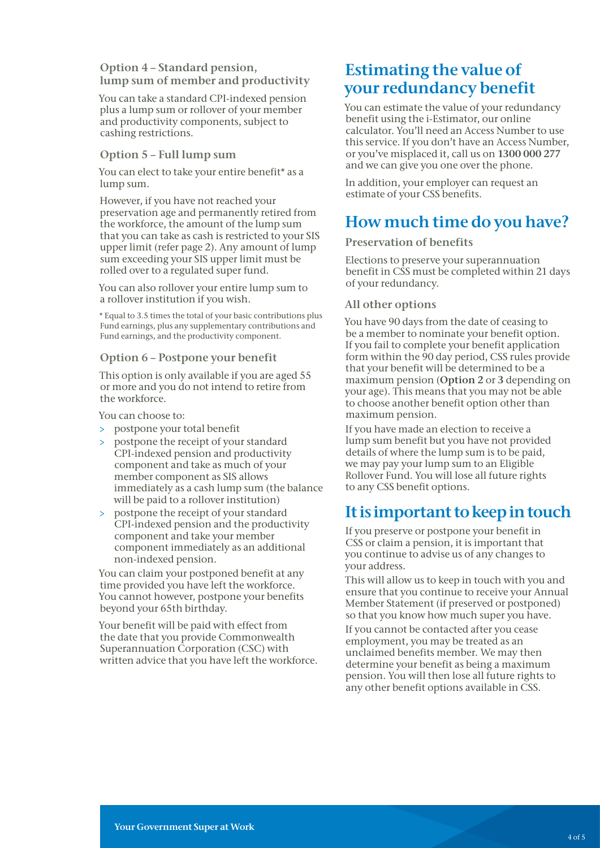#### Option 4 – Standard pension, lump sum of member and productivity

You can take a standard CPI-indexed pension plus a lump sum or rollover of your member and productivity components, subject to cashing restrictions.

#### Option 5 – Full lump sum

You can elect to take your entire benefit\* as a lump sum.

However, if you have not reached your preservation age and permanently retired from the workforce, the amount of the lump sum that you can take as cash is restricted to your SIS upper limit (refer page 2). Any amount of lump sum exceeding your SIS upper limit must be rolled over to a regulated super fund.

You can also rollover your entire lump sum to a rollover institution if you wish.

 \* Equal to 3.5 times the total of your basic contributions plus Fund earnings, plus any supplementary contributions and Fund earnings, and the productivity component.

#### Option 6 – Postpone your benefit

This option is only available if you are aged 55 or more and you do not intend to retire from the workforce.

You can choose to:

- > postpone your total benefit
- > postpone the receipt of your standard CPI-indexed pension and productivity component and take as much of your member component as SIS allows immediately as a cash lump sum (the balance will be paid to a rollover institution)
- > postpone the receipt of your standard CPI-indexed pension and the productivity component and take your member component immediately as an additional non-indexed pension.

You can claim your postponed benefit at any time provided you have left the workforce. You cannot however, postpone your benefits beyond your 65th birthday.

Your benefit will be paid with effect from the date that you provide Commonwealth Superannuation Corporation (CSC) with written advice that you have left the workforce.

## Estimating the value of your redundancy benefit

You can estimate the value of your redundancy benefit using the i-Estimator, our online calculator. You'll need an Access Number to use this service. If you don't have an Access Number, or you've misplaced it, call us on 1300 000 277 and we can give you one over the phone.

In addition, your employer can request an estimate of your CSS benefits.

## How much time do you have?

#### Preservation of benefits

Elections to preserve your superannuation benefit in CSS must be completed within 21 days of your redundancy.

#### All other options

You have 90 days from the date of ceasing to be a member to nominate your benefit option. If you fail to complete your benefit application form within the 90 day period, CSS rules provide that your benefit will be determined to be a maximum pension (Option 2 or 3 depending on your age). This means that you may not be able to choose another benefit option other than maximum pension.

If you have made an election to receive a lump sum benefit but you have not provided details of where the lump sum is to be paid, we may pay your lump sum to an Eligible Rollover Fund. You will lose all future rights to any CSS benefit options.

## It is important to keep in touch

If you preserve or postpone your benefit in CSS or claim a pension, it is important that you continue to advise us of any changes to your address.

This will allow us to keep in touch with you and ensure that you continue to receive your Annual Member Statement (if preserved or postponed) so that you know how much super you have.

If you cannot be contacted after you cease employment, you may be treated as an unclaimed benefits member. We may then determine your benefit as being a maximum pension. You will then lose all future rights to any other benefit options available in CSS.